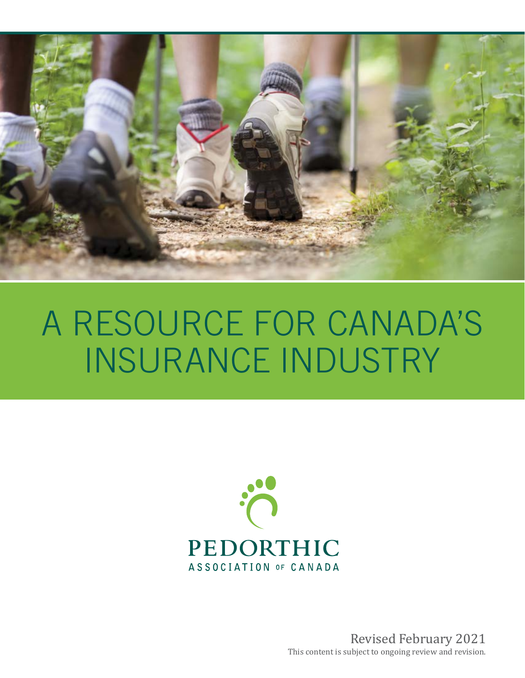

# A RESOURCE FOR CANADA'S INSURANCE INDUSTRY



Revised February 2021 This content is subject to ongoing review and revision.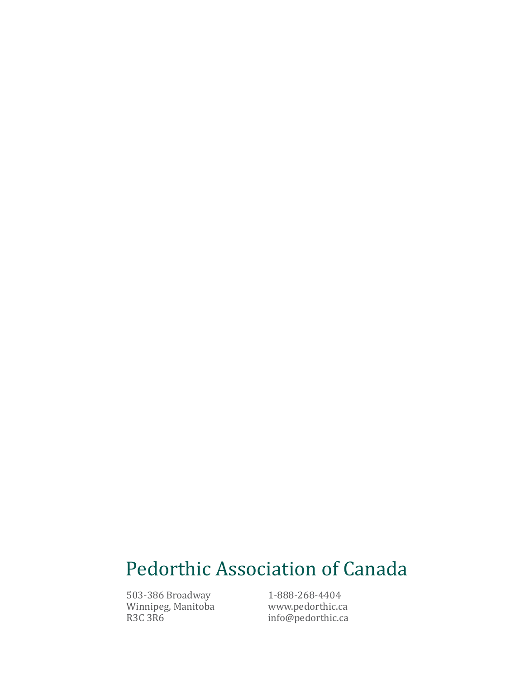# Pedorthic Association of Canada

503-386 Broadway Winnipeg, Manitoba R3C 3R6

1-888-268-4404 www.pedorthic.ca info@pedorthic.ca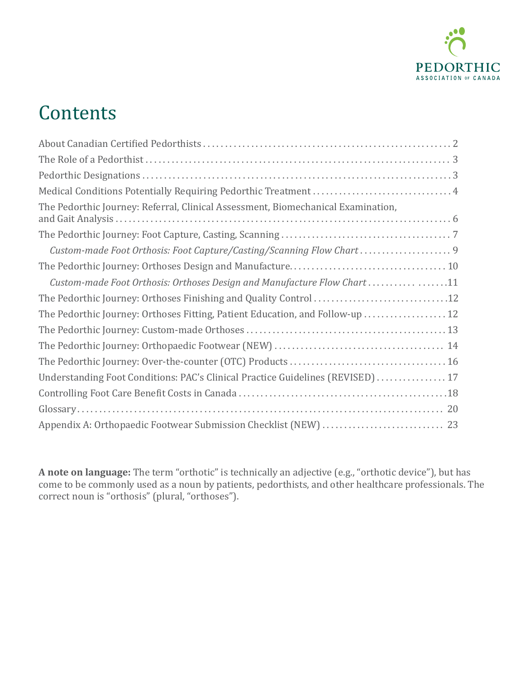

# **Contents**

| The Pedorthic Journey: Referral, Clinical Assessment, Biomechanical Examination, |  |
|----------------------------------------------------------------------------------|--|
|                                                                                  |  |
| Custom-made Foot Orthosis: Foot Capture/Casting/Scanning Flow Chart  9           |  |
|                                                                                  |  |
| Custom-made Foot Orthosis: Orthoses Design and Manufacture Flow Chart 11         |  |
|                                                                                  |  |
| The Pedorthic Journey: Orthoses Fitting, Patient Education, and Follow-up  12    |  |
|                                                                                  |  |
|                                                                                  |  |
|                                                                                  |  |
| Understanding Foot Conditions: PAC's Clinical Practice Guidelines (REVISED)  17  |  |
|                                                                                  |  |
|                                                                                  |  |
|                                                                                  |  |

**A note on language:** The term "orthotic" is technically an adjective (e.g., "orthotic device"), but has come to be commonly used as a noun by patients, pedorthists, and other healthcare professionals. The correct noun is "orthosis" (plural, "orthoses").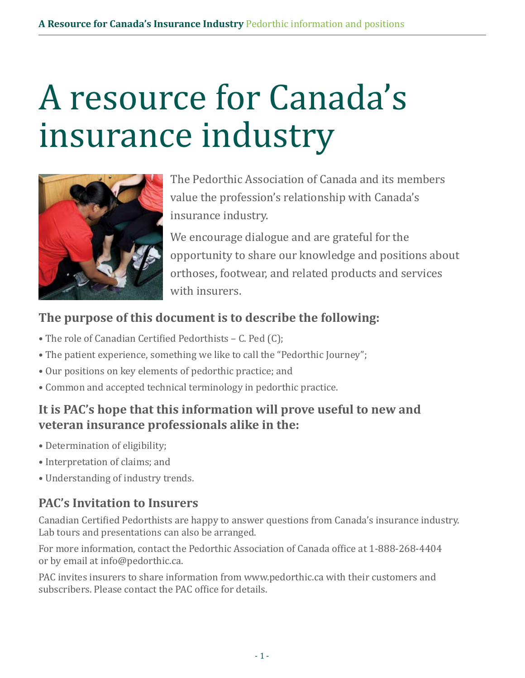# A resource for Canada's insurance industry



The Pedorthic Association of Canada and its members value the profession's relationship with Canada's insurance industry.

We encourage dialogue and are grateful for the opportunity to share our knowledge and positions about orthoses, footwear, and related products and services with insurers.

### **The purpose of this document is to describe the following:**

- The role of Canadian Certified Pedorthists C. Ped (C);
- The patient experience, something we like to call the "Pedorthic Journey";
- Our positions on key elements of pedorthic practice; and
- Common and accepted technical terminology in pedorthic practice.

### **It is PAC's hope that this information will prove useful to new and veteran insurance professionals alike in the:**

- Determination of eligibility;
- Interpretation of claims; and
- Understanding of industry trends.

### **PAC's Invitation to Insurers**

Canadian Certified Pedorthists are happy to answer questions from Canada's insurance industry. Lab tours and presentations can also be arranged.

For more information, contact the Pedorthic Association of Canada office at 1-888-268-4404 or by email at info@pedorthic.ca.

PAC invites insurers to share information from www.pedorthic.ca with their customers and subscribers. Please contact the PAC office for details.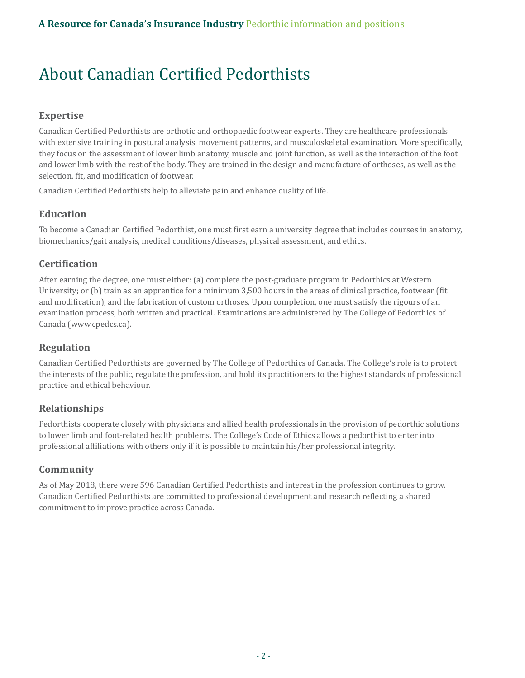## About Canadian Certified Pedorthists

#### **Expertise**

Canadian Certified Pedorthists are orthotic and orthopaedic footwear experts. They are healthcare professionals with extensive training in postural analysis, movement patterns, and musculoskeletal examination. More specifically, they focus on the assessment of lower limb anatomy, muscle and joint function, as well as the interaction of the foot and lower limb with the rest of the body. They are trained in the design and manufacture of orthoses, as well as the selection, fit, and modification of footwear.

Canadian Certified Pedorthists help to alleviate pain and enhance quality of life.

#### **Education**

To become a Canadian Certified Pedorthist, one must first earn a university degree that includes courses in anatomy, biomechanics/gait analysis, medical conditions/diseases, physical assessment, and ethics.

#### **Certification**

After earning the degree, one must either: (a) complete the post-graduate program in Pedorthics at Western University; or (b) train as an apprentice for a minimum 3,500 hours in the areas of clinical practice, footwear (fit and modification), and the fabrication of custom orthoses. Upon completion, one must satisfy the rigours of an examination process, both written and practical. Examinations are administered by The College of Pedorthics of Canada (www.cpedcs.ca).

#### **Regulation**

Canadian Certified Pedorthists are governed by The College of Pedorthics of Canada. The College's role is to protect the interests of the public, regulate the profession, and hold its practitioners to the highest standards of professional practice and ethical behaviour.

#### **Relationships**

Pedorthists cooperate closely with physicians and allied health professionals in the provision of pedorthic solutions to lower limb and foot-related health problems. The College's Code of Ethics allows a pedorthist to enter into professional affiliations with others only if it is possible to maintain his/her professional integrity.

#### **Community**

As of May 2018, there were 596 Canadian Certified Pedorthists and interest in the profession continues to grow. Canadian Certified Pedorthists are committed to professional development and research reflecting a shared commitment to improve practice across Canada.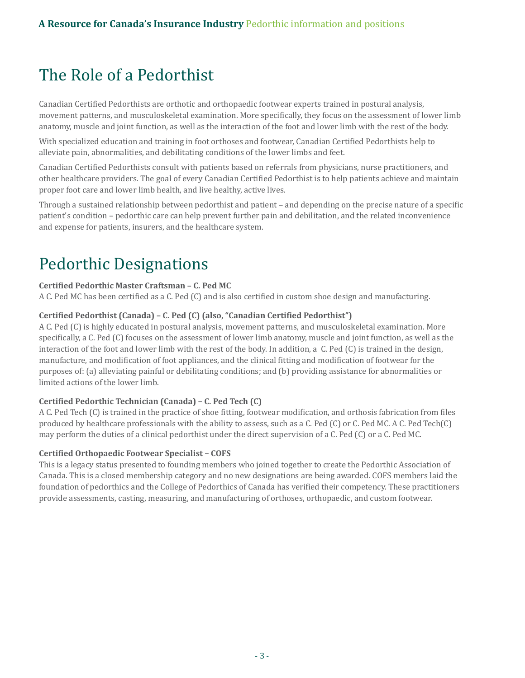## The Role of a Pedorthist

Canadian Certified Pedorthists are orthotic and orthopaedic footwear experts trained in postural analysis, movement patterns, and musculoskeletal examination. More specifically, they focus on the assessment of lower limb anatomy, muscle and joint function, as well as the interaction of the foot and lower limb with the rest of the body.

With specialized education and training in foot orthoses and footwear, Canadian Certified Pedorthists help to alleviate pain, abnormalities, and debilitating conditions of the lower limbs and feet.

Canadian Certified Pedorthists consult with patients based on referrals from physicians, nurse practitioners, and other healthcare providers. The goal of every Canadian Certified Pedorthist is to help patients achieve and maintain proper foot care and lower limb health, and live healthy, active lives.

Through a sustained relationship between pedorthist and patient – and depending on the precise nature of a specific patient's condition – pedorthic care can help prevent further pain and debilitation, and the related inconvenience and expense for patients, insurers, and the healthcare system.

## Pedorthic Designations

#### **Certified Pedorthic Master Craftsman – C. Ped MC**

A C. Ped MC has been certified as a C. Ped (C) and is also certified in custom shoe design and manufacturing.

#### **Certified Pedorthist (Canada) – C. Ped (C) (also, "Canadian Certified Pedorthist")**

A C. Ped (C) is highly educated in postural analysis, movement patterns, and musculoskeletal examination. More specifically, a C. Ped (C) focuses on the assessment of lower limb anatomy, muscle and joint function, as well as the interaction of the foot and lower limb with the rest of the body. In addition, a C. Ped (C) is trained in the design, manufacture, and modification of foot appliances, and the clinical fitting and modification of footwear for the purposes of: (a) alleviating painful or debilitating conditions; and (b) providing assistance for abnormalities or limited actions of the lower limb.

#### **Certified Pedorthic Technician (Canada) – C. Ped Tech (C)**

A C. Ped Tech (C) is trained in the practice of shoe fitting, footwear modification, and orthosis fabrication from files produced by healthcare professionals with the ability to assess, such as a C. Ped (C) or C. Ped MC. A C. Ped Tech(C) may perform the duties of a clinical pedorthist under the direct supervision of a C. Ped (C) or a C. Ped MC.

#### **Certified Orthopaedic Footwear Specialist – COFS**

This is a legacy status presented to founding members who joined together to create the Pedorthic Association of Canada. This is a closed membership category and no new designations are being awarded. COFS members laid the foundation of pedorthics and the College of Pedorthics of Canada has verified their competency. These practitioners provide assessments, casting, measuring, and manufacturing of orthoses, orthopaedic, and custom footwear.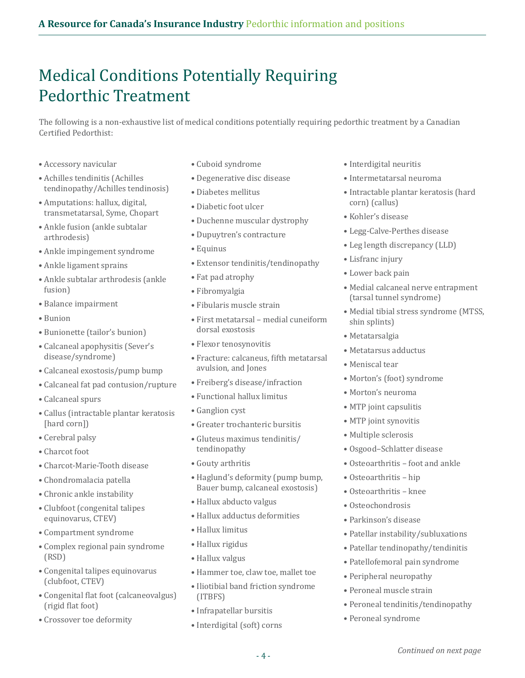### Medical Conditions Potentially Requiring Pedorthic Treatment

The following is a non-exhaustive list of medical conditions potentially requiring pedorthic treatment by a Canadian Certified Pedorthist:

- Accessory navicular
- Achilles tendinitis (Achilles tendinopathy/Achilles tendinosis)
- Amputations: hallux, digital, transmetatarsal, Syme, Chopart
- Ankle fusion (ankle subtalar arthrodesis)
- Ankle impingement syndrome
- Ankle ligament sprains
- Ankle subtalar arthrodesis (ankle fusion)
- Balance impairment
- Bunion
- Bunionette (tailor's bunion)
- Calcaneal apophysitis (Sever's disease/syndrome)
- Calcaneal exostosis/pump bump
- Calcaneal fat pad contusion/rupture
- Calcaneal spurs
- Callus (intractable plantar keratosis [hard corn])
- Cerebral palsy
- Charcot foot
- Charcot-Marie-Tooth disease
- Chondromalacia patella
- Chronic ankle instability
- Clubfoot (congenital talipes equinovarus, CTEV)
- Compartment syndrome
- Complex regional pain syndrome (RSD)
- Congenital talipes equinovarus (clubfoot, CTEV)
- Congenital flat foot (calcaneovalgus) (rigid flat foot)
- Crossover toe deformity
- Cuboid syndrome
- Degenerative disc disease
- Diabetes mellitus
- Diabetic foot ulcer
- Duchenne muscular dystrophy
- Dupuytren's contracture
- Equinus
- Extensor tendinitis/tendinopathy
- Fat pad atrophy
- Fibromyalgia
- Fibularis muscle strain
- First metatarsal medial cuneiform dorsal exostosis
- Flexor tenosynovitis
- Fracture: calcaneus, fifth metatarsal avulsion, and Jones
- Freiberg's disease/infraction
- Functional hallux limitus
- Ganglion cyst
- Greater trochanteric bursitis
- Gluteus maximus tendinitis/ tendinopathy
- Gouty arthritis
- Haglund's deformity (pump bump, Bauer bump, calcaneal exostosis)
- Hallux abducto valgus
- Hallux adductus deformities
- Hallux limitus
- Hallux rigidus
- Hallux valgus
- Hammer toe, claw toe, mallet toe
- Iliotibial band friction syndrome (ITBFS)
- Infrapatellar bursitis
- Interdigital (soft) corns
- Interdigital neuritis
- Intermetatarsal neuroma
- Intractable plantar keratosis (hard corn) (callus)
- Kohler's disease
- Legg-Calve-Perthes disease
- Leg length discrepancy (LLD)
- Lisfranc injury
- Lower back pain
- Medial calcaneal nerve entrapment (tarsal tunnel syndrome)
- Medial tibial stress syndrome (MTSS, shin splints)
- Metatarsalgia
- Metatarsus adductus
- Meniscal tear
- Morton's (foot) syndrome
- Morton's neuroma
- MTP joint capsulitis
- MTP joint synovitis
- Multiple sclerosis
- Osgood–Schlatter disease
- Osteoarthritis foot and ankle
- Osteoarthritis hip
- Osteoarthritis knee
- Osteochondrosis
- Parkinson's disease
- Patellar instability/subluxations
- Patellar tendinopathy/tendinitis
- Patellofemoral pain syndrome
- Peripheral neuropathy
- Peroneal muscle strain
- Peroneal tendinitis/tendinopathy
- Peroneal syndrome

- 4 -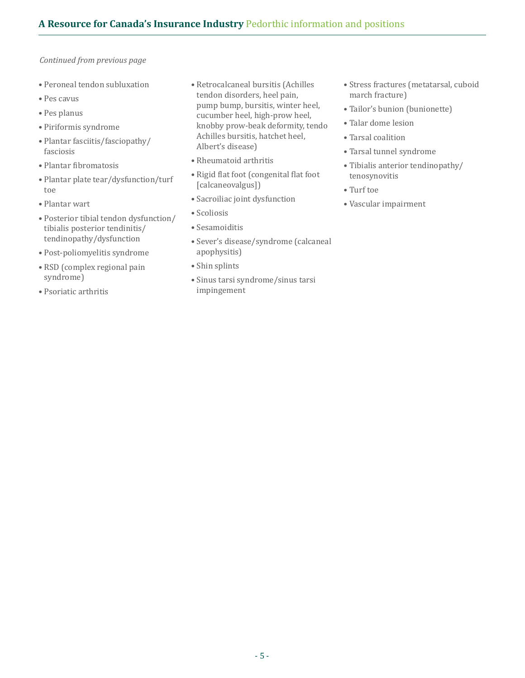- *Continued from previous page*
- Peroneal tendon subluxation
- Pes cavus
- Pes planus
- Piriformis syndrome
- Plantar fasciitis/fasciopathy/ fasciosis
- Plantar fibromatosis
- Plantar plate tear/dysfunction/turf toe
- Plantar wart
- Posterior tibial tendon dysfunction/ tibialis posterior tendinitis/ tendinopathy/dysfunction
- Post-poliomyelitis syndrome
- RSD (complex regional pain syndrome)
- Psoriatic arthritis
- Retrocalcaneal bursitis (Achilles tendon disorders, heel pain, pump bump, bursitis, winter heel, cucumber heel, high-prow heel, knobby prow-beak deformity, tendo Achilles bursitis, hatchet heel, Albert's disease)
- Rheumatoid arthritis
- Rigid flat foot (congenital flat foot [calcaneovalgus])
- Sacroiliac joint dysfunction
- Scoliosis
- Sesamoiditis
- Sever's disease/syndrome (calcaneal apophysitis)
- Shin splints
- Sinus tarsi syndrome/sinus tarsi impingement
- Stress fractures (metatarsal, cuboid march fracture)
- Tailor's bunion (bunionette)
- Talar dome lesion
- Tarsal coalition
- Tarsal tunnel syndrome
- Tibialis anterior tendinopathy/ tenosynovitis
- Turf toe
- Vascular impairment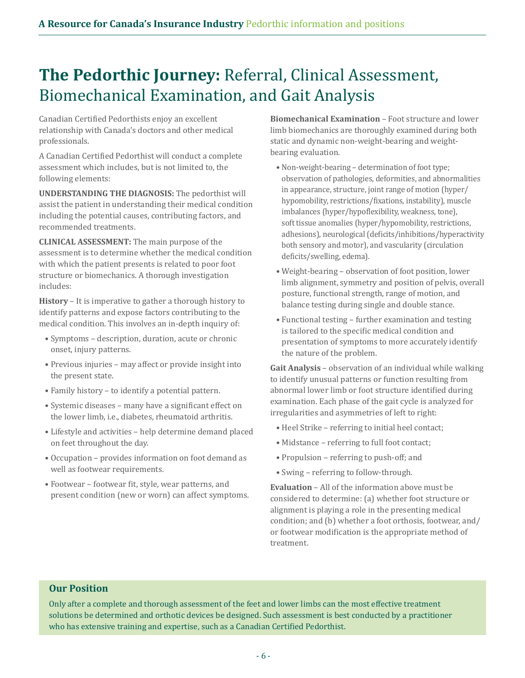## **The Pedorthic Journey:** Referral, Clinical Assessment, Biomechanical Examination, and Gait Analysis

Canadian Certified Pedorthists enjoy an excellent relationship with Canada's doctors and other medical professionals.

A Canadian Certified Pedorthist will conduct a complete assessment which includes, but is not limited to, the following elements:

**UNDERSTANDING THE DIAGNOSIS:** The pedorthist will assist the patient in understanding their medical condition including the potential causes, contributing factors, and recommended treatments.

**CLINICAL ASSESSMENT:** The main purpose of the assessment is to determine whether the medical condition with which the patient presents is related to poor foot structure or biomechanics. A thorough investigation includes:

**History** – It is imperative to gather a thorough history to identify patterns and expose factors contributing to the medical condition. This involves an in-depth inquiry of:

- Symptoms description, duration, acute or chronic onset, injury patterns.
- Previous injuries may affect or provide insight into the present state.
- Family history to identify a potential pattern.
- Systemic diseases many have a significant effect on the lower limb, i.e., diabetes, rheumatoid arthritis.
- Lifestyle and activities help determine demand placed on feet throughout the day.
- Occupation provides information on foot demand as well as footwear requirements.
- Footwear footwear fit, style, wear patterns, and present condition (new or worn) can affect symptoms.

**Biomechanical Examination** – Foot structure and lower limb biomechanics are thoroughly examined during both static and dynamic non-weight-bearing and weightbearing evaluation.

- Non-weight-bearing determination of foot type; observation of pathologies, deformities, and abnormalities in appearance, structure, joint range of motion (hyper/ hypomobility, restrictions/fixations, instability), muscle imbalances (hyper/hypoflexibility, weakness, tone), soft tissue anomalies (hyper/hypomobility, restrictions, adhesions), neurological (deficits/inhibitions/hyperactivity both sensory and motor), and vascularity (circulation deficits/swelling, edema).
- Weight-bearing observation of foot position, lower limb alignment, symmetry and position of pelvis, overall posture, functional strength, range of motion, and balance testing during single and double stance.
- Functional testing further examination and testing is tailored to the specific medical condition and presentation of symptoms to more accurately identify the nature of the problem.

**Gait Analysis** – observation of an individual while walking to identify unusual patterns or function resulting from abnormal lower limb or foot structure identified during examination. Each phase of the gait cycle is analyzed for irregularities and asymmetries of left to right:

- Heel Strike referring to initial heel contact;
- Midstance referring to full foot contact;
- Propulsion referring to push-off; and
- Swing referring to follow-through.

**Evaluation** – All of the information above must be considered to determine: (a) whether foot structure or alignment is playing a role in the presenting medical condition; and (b) whether a foot orthosis, footwear, and/ or footwear modification is the appropriate method of treatment.

#### **Our Position**

Only after a complete and thorough assessment of the feet and lower limbs can the most effective treatment solutions be determined and orthotic devices be designed. Such assessment is best conducted by a practitioner who has extensive training and expertise, such as a Canadian Certified Pedorthist.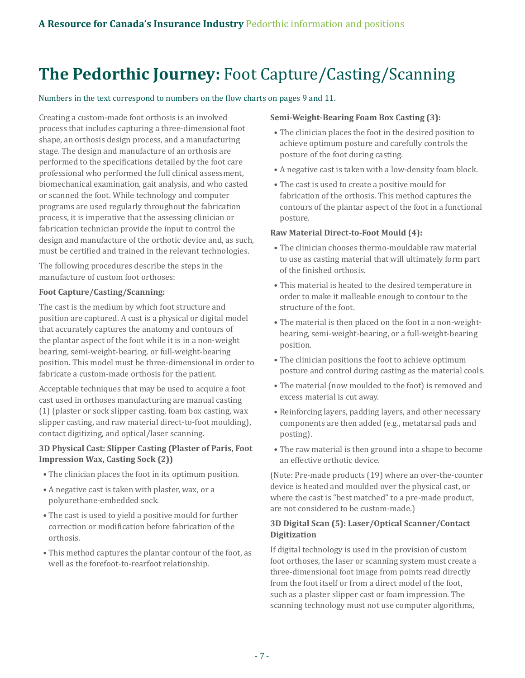### **The Pedorthic Journey:** Foot Capture/Casting/Scanning

Numbers in the text correspond to numbers on the flow charts on pages 9 and 11.

Creating a custom-made foot orthosis is an involved process that includes capturing a three-dimensional foot shape, an orthosis design process, and a manufacturing stage. The design and manufacture of an orthosis are performed to the specifications detailed by the foot care professional who performed the full clinical assessment, biomechanical examination, gait analysis, and who casted or scanned the foot. While technology and computer programs are used regularly throughout the fabrication process, it is imperative that the assessing clinician or fabrication technician provide the input to control the design and manufacture of the orthotic device and, as such, must be certified and trained in the relevant technologies.

The following procedures describe the steps in the manufacture of custom foot orthoses:

#### **Foot Capture/Casting/Scanning:**

The cast is the medium by which foot structure and position are captured. A cast is a physical or digital model that accurately captures the anatomy and contours of the plantar aspect of the foot while it is in a non-weight bearing, semi-weight-bearing, or full-weight-bearing position. This model must be three-dimensional in order to fabricate a custom-made orthosis for the patient.

Acceptable techniques that may be used to acquire a foot cast used in orthoses manufacturing are manual casting (1) (plaster or sock slipper casting, foam box casting, wax slipper casting, and raw material direct-to-foot moulding), contact digitizing, and optical/laser scanning.

#### **3D Physical Cast: Slipper Casting (Plaster of Paris, Foot Impression Wax, Casting Sock (2))**

- The clinician places the foot in its optimum position.
- A negative cast is taken with plaster, wax, or a polyurethane-embedded sock.
- The cast is used to yield a positive mould for further correction or modification before fabrication of the orthosis.
- This method captures the plantar contour of the foot, as well as the forefoot-to-rearfoot relationship.

#### **Semi-Weight-Bearing Foam Box Casting (3):**

- The clinician places the foot in the desired position to achieve optimum posture and carefully controls the posture of the foot during casting.
- A negative cast is taken with a low-density foam block.
- The cast is used to create a positive mould for fabrication of the orthosis. This method captures the contours of the plantar aspect of the foot in a functional posture.

#### **Raw Material Direct-to-Foot Mould (4):**

- The clinician chooses thermo-mouldable raw material to use as casting material that will ultimately form part of the finished orthosis.
- This material is heated to the desired temperature in order to make it malleable enough to contour to the structure of the foot.
- The material is then placed on the foot in a non-weightbearing, semi-weight-bearing, or a full-weight-bearing position.
- The clinician positions the foot to achieve optimum posture and control during casting as the material cools.
- The material (now moulded to the foot) is removed and excess material is cut away.
- Reinforcing layers, padding layers, and other necessary components are then added (e.g., metatarsal pads and posting).
- The raw material is then ground into a shape to become an effective orthotic device.

(Note: Pre-made products (19) where an over-the-counter device is heated and moulded over the physical cast, or where the cast is "best matched" to a pre-made product, are not considered to be custom-made.)

#### **3D Digital Scan (5): Laser/Optical Scanner/Contact Digitization**

If digital technology is used in the provision of custom foot orthoses, the laser or scanning system must create a three-dimensional foot image from points read directly from the foot itself or from a direct model of the foot, such as a plaster slipper cast or foam impression. The scanning technology must not use computer algorithms,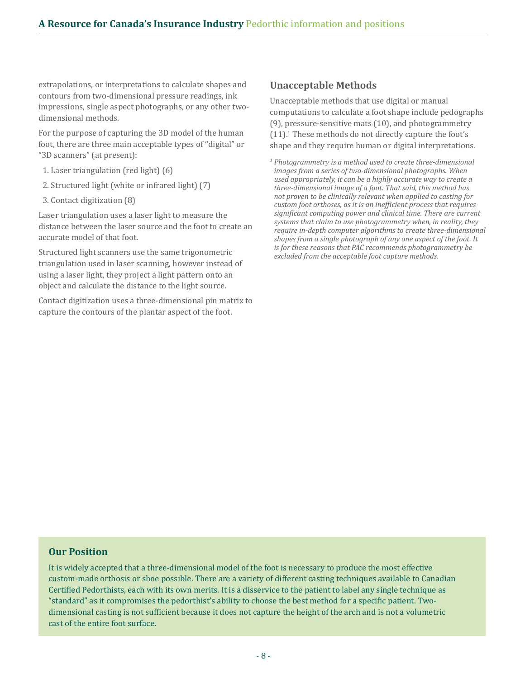extrapolations, or interpretations to calculate shapes and contours from two-dimensional pressure readings, ink impressions, single aspect photographs, or any other twodimensional methods.

For the purpose of capturing the 3D model of the human foot, there are three main acceptable types of "digital" or "3D scanners" (at present):

- 1. Laser triangulation (red light) (6)
- 2. Structured light (white or infrared light) (7)
- 3. Contact digitization (8)

Laser triangulation uses a laser light to measure the distance between the laser source and the foot to create an accurate model of that foot.

Structured light scanners use the same trigonometric triangulation used in laser scanning, however instead of using a laser light, they project a light pattern onto an object and calculate the distance to the light source.

Contact digitization uses a three-dimensional pin matrix to capture the contours of the plantar aspect of the foot.

#### **Unacceptable Methods**

Unacceptable methods that use digital or manual computations to calculate a foot shape include pedographs (9), pressure-sensitive mats (10), and photogrammetry  $(11).$ <sup>1</sup> These methods do not directly capture the foot's shape and they require human or digital interpretations.

*<sup>1</sup> Photogrammetry is a method used to create three-dimensional images from a series of two-dimensional photographs. When used appropriately, it can be a highly accurate way to create a three-dimensional image of a foot. That said, this method has not proven to be clinically relevant when applied to casting for custom foot orthoses, as it is an inefficient process that requires significant computing power and clinical time. There are current systems that claim to use photogrammetry when, in reality, they require in-depth computer algorithms to create three-dimensional shapes from a single photograph of any one aspect of the foot. It is for these reasons that PAC recommends photogrammetry be excluded from the acceptable foot capture methods.*

#### **Our Position**

It is widely accepted that a three-dimensional model of the foot is necessary to produce the most effective custom-made orthosis or shoe possible. There are a variety of different casting techniques available to Canadian Certified Pedorthists, each with its own merits. It is a disservice to the patient to label any single technique as "standard" as it compromises the pedorthist's ability to choose the best method for a specific patient. Twodimensional casting is not sufficient because it does not capture the height of the arch and is not a volumetric cast of the entire foot surface.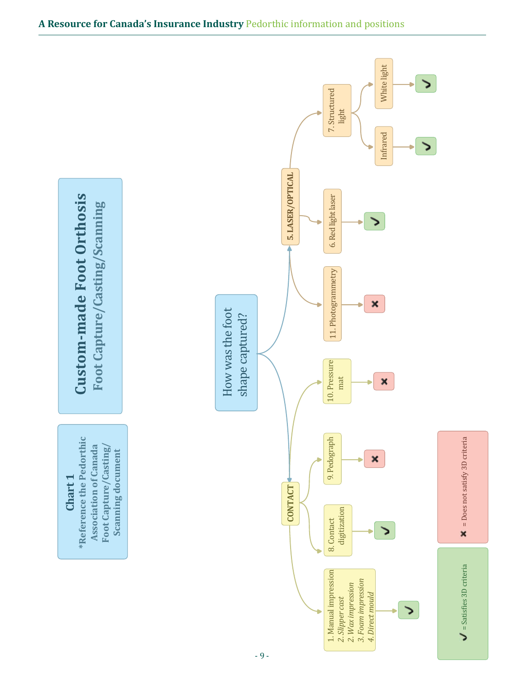

#### **A Resource for Canada's Insurance Industry** Pedorthic information and positions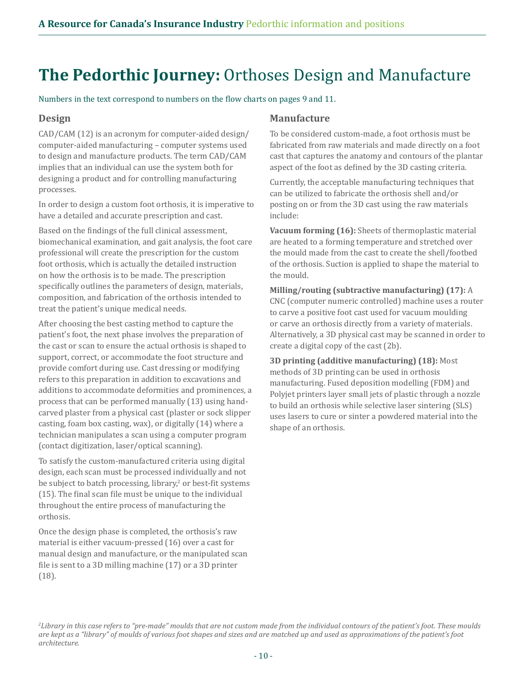### **The Pedorthic Journey:** Orthoses Design and Manufacture

Numbers in the text correspond to numbers on the flow charts on pages 9 and 11.

#### **Design**

CAD/CAM (12) is an acronym for computer-aided design/ computer-aided manufacturing – computer systems used to design and manufacture products. The term CAD/CAM implies that an individual can use the system both for designing a product and for controlling manufacturing processes.

In order to design a custom foot orthosis, it is imperative to have a detailed and accurate prescription and cast.

Based on the findings of the full clinical assessment, biomechanical examination, and gait analysis, the foot care professional will create the prescription for the custom foot orthosis, which is actually the detailed instruction on how the orthosis is to be made. The prescription specifically outlines the parameters of design, materials, composition, and fabrication of the orthosis intended to treat the patient's unique medical needs.

After choosing the best casting method to capture the patient's foot, the next phase involves the preparation of the cast or scan to ensure the actual orthosis is shaped to support, correct, or accommodate the foot structure and provide comfort during use. Cast dressing or modifying refers to this preparation in addition to excavations and additions to accommodate deformities and prominences, a process that can be performed manually (13) using handcarved plaster from a physical cast (plaster or sock slipper casting, foam box casting, wax), or digitally (14) where a technician manipulates a scan using a computer program (contact digitization, laser/optical scanning).

To satisfy the custom-manufactured criteria using digital design, each scan must be processed individually and not be subject to batch processing, library,<sup>2</sup> or best-fit systems (15). The final scan file must be unique to the individual throughout the entire process of manufacturing the orthosis.

Once the design phase is completed, the orthosis's raw material is either vacuum-pressed (16) over a cast for manual design and manufacture, or the manipulated scan file is sent to a 3D milling machine (17) or a 3D printer (18).

#### **Manufacture**

To be considered custom-made, a foot orthosis must be fabricated from raw materials and made directly on a foot cast that captures the anatomy and contours of the plantar aspect of the foot as defined by the 3D casting criteria.

Currently, the acceptable manufacturing techniques that can be utilized to fabricate the orthosis shell and/or posting on or from the 3D cast using the raw materials include:

**Vacuum forming (16):** Sheets of thermoplastic material are heated to a forming temperature and stretched over the mould made from the cast to create the shell/footbed of the orthosis. Suction is applied to shape the material to the mould.

**Milling/routing (subtractive manufacturing) (17):** A CNC (computer numeric controlled) machine uses a router to carve a positive foot cast used for vacuum moulding or carve an orthosis directly from a variety of materials. Alternatively, a 3D physical cast may be scanned in order to create a digital copy of the cast (2b).

**3D printing (additive manufacturing) (18):** Most methods of 3D printing can be used in orthosis manufacturing. Fused deposition modelling (FDM) and Polyjet printers layer small jets of plastic through a nozzle to build an orthosis while selective laser sintering (SLS) uses lasers to cure or sinter a powdered material into the shape of an orthosis.

*2 Library in this case refers to "pre-made" moulds that are not custom made from the individual contours of the patient's foot. These moulds are kept as a "library" of moulds of various foot shapes and sizes and are matched up and used as approximations of the patient's foot architecture.*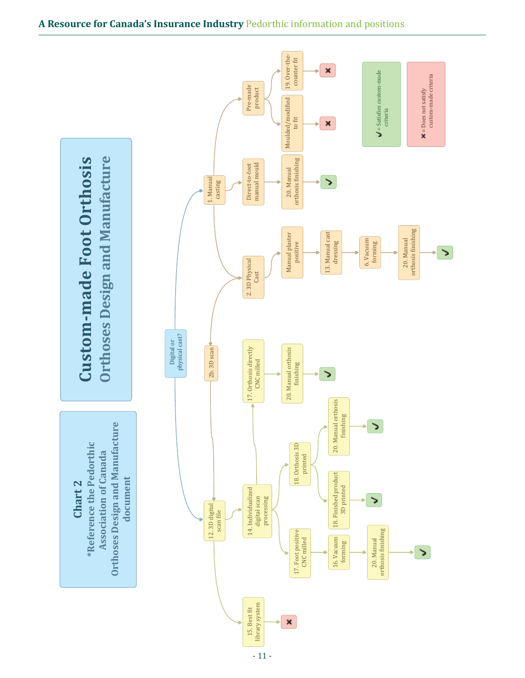

#### **A Resource for Canada's Insurance Industry** Pedorthic information and positions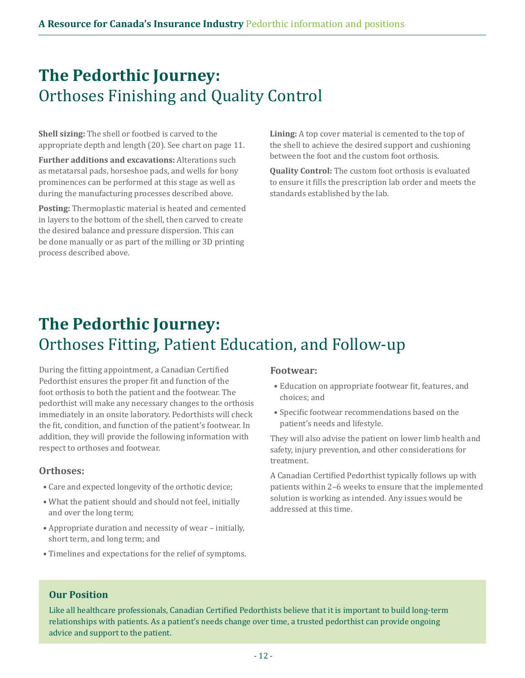### **The Pedorthic Journey:** Orthoses Finishing and Quality Control

**Shell sizing:** The shell or footbed is carved to the appropriate depth and length (20). See chart on page 11.

**Further additions and excavations:** Alterations such as metatarsal pads, horseshoe pads, and wells for bony prominences can be performed at this stage as well as during the manufacturing processes described above.

**Posting:** Thermoplastic material is heated and cemented in layers to the bottom of the shell, then carved to create the desired balance and pressure dispersion. This can be done manually or as part of the milling or 3D printing process described above.

**Lining:** A top cover material is cemented to the top of the shell to achieve the desired support and cushioning between the foot and the custom foot orthosis.

**Quality Control:** The custom foot orthosis is evaluated to ensure it fills the prescription lab order and meets the standards established by the lab.

# **The Pedorthic Journey:** Orthoses Fitting, Patient Education, and Follow-up

During the fitting appointment, a Canadian Certified Pedorthist ensures the proper fit and function of the foot orthosis to both the patient and the footwear. The pedorthist will make any necessary changes to the orthosis immediately in an onsite laboratory. Pedorthists will check the fit, condition, and function of the patient's footwear. In addition, they will provide the following information with respect to orthoses and footwear.

#### **Orthoses:**

- Care and expected longevity of the orthotic device;
- What the patient should and should not feel, initially and over the long term;
- Appropriate duration and necessity of wear initially, short term, and long term; and
- Timelines and expectations for the relief of symptoms.

#### **Footwear:**

- Education on appropriate footwear fit, features, and choices; and
- Specific footwear recommendations based on the patient's needs and lifestyle.

They will also advise the patient on lower limb health and safety, injury prevention, and other considerations for treatment.

A Canadian Certified Pedorthist typically follows up with patients within 2–6 weeks to ensure that the implemented solution is working as intended. Any issues would be addressed at this time.

#### **Our Position**

Like all healthcare professionals, Canadian Certified Pedorthists believe that it is important to build long-term relationships with patients. As a patient's needs change over time, a trusted pedorthist can provide ongoing advice and support to the patient.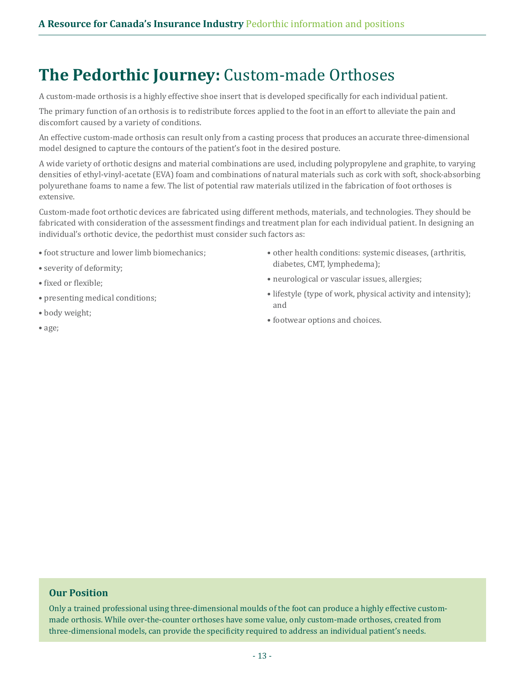### **The Pedorthic Journey:** Custom-made Orthoses

A custom-made orthosis is a highly effective shoe insert that is developed specifically for each individual patient.

The primary function of an orthosis is to redistribute forces applied to the foot in an effort to alleviate the pain and discomfort caused by a variety of conditions.

An effective custom-made orthosis can result only from a casting process that produces an accurate three-dimensional model designed to capture the contours of the patient's foot in the desired posture.

A wide variety of orthotic designs and material combinations are used, including polypropylene and graphite, to varying densities of ethyl-vinyl-acetate (EVA) foam and combinations of natural materials such as cork with soft, shock-absorbing polyurethane foams to name a few. The list of potential raw materials utilized in the fabrication of foot orthoses is extensive.

Custom-made foot orthotic devices are fabricated using different methods, materials, and technologies. They should be fabricated with consideration of the assessment findings and treatment plan for each individual patient. In designing an individual's orthotic device, the pedorthist must consider such factors as:

- foot structure and lower limb biomechanics;
- severity of deformity;
- fixed or flexible;
- presenting medical conditions;
- body weight;
- age;
- other health conditions: systemic diseases, (arthritis, diabetes, CMT, lymphedema);
- neurological or vascular issues, allergies;
- lifestyle (type of work, physical activity and intensity); and
- footwear options and choices.

#### **Our Position**

Only a trained professional using three-dimensional moulds of the foot can produce a highly effective custommade orthosis. While over-the-counter orthoses have some value, only custom-made orthoses, created from three-dimensional models, can provide the specificity required to address an individual patient's needs.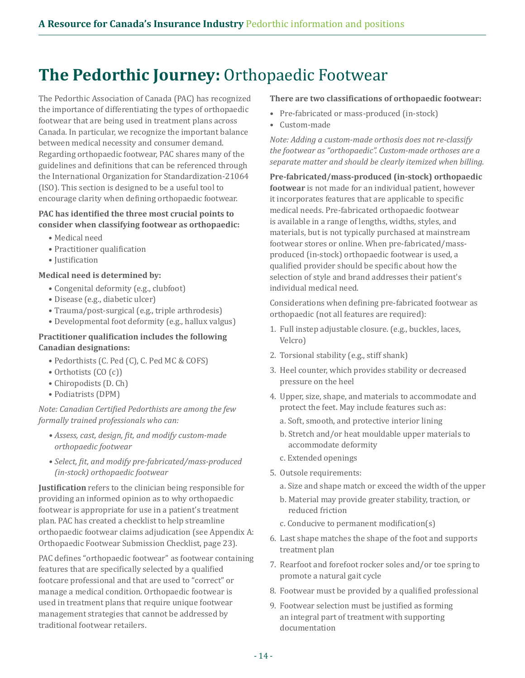# **The Pedorthic Journey:** Orthopaedic Footwear

The Pedorthic Association of Canada (PAC) has recognized the importance of differentiating the types of orthopaedic footwear that are being used in treatment plans across Canada. In particular, we recognize the important balance between medical necessity and consumer demand. Regarding orthopaedic footwear, PAC shares many of the guidelines and definitions that can be referenced through the International Organization for Standardization-21064 (ISO). This section is designed to be a useful tool to encourage clarity when defining orthopaedic footwear.

#### **PAC has identified the three most crucial points to consider when classifying footwear as orthopaedic:**

- Medical need
- Practitioner qualification
- Justification

#### **Medical need is determined by:**

- Congenital deformity (e.g., clubfoot)
- Disease (e.g., diabetic ulcer)
- Trauma/post-surgical (e.g., triple arthrodesis)
- Developmental foot deformity (e.g., hallux valgus)

#### **Practitioner qualification includes the following Canadian designations:**

- Pedorthists (C. Ped (C), C. Ped MC & COFS)
- Orthotists (CO (c))
- Chiropodists (D. Ch)
- Podiatrists (DPM)

*Note: Canadian Certified Pedorthists are among the few formally trained professionals who can:*

- *Assess, cast, design, fit, and modify custom-made orthopaedic footwear*
- *Select, fit, and modify pre-fabricated/mass-produced (in-stock) orthopaedic footwear*

**Justification** refers to the clinician being responsible for providing an informed opinion as to why orthopaedic footwear is appropriate for use in a patient's treatment plan. PAC has created a checklist to help streamline orthopaedic footwear claims adjudication (see Appendix A: Orthopaedic Footwear Submission Checklist, page 23).

PAC defines "orthopaedic footwear" as footwear containing features that are specifically selected by a qualified footcare professional and that are used to "correct" or manage a medical condition. Orthopaedic footwear is used in treatment plans that require unique footwear management strategies that cannot be addressed by traditional footwear retailers.

#### **There are two classifications of orthopaedic footwear:**

- Pre-fabricated or mass-produced (in-stock)
- Custom-made

*Note: Adding a custom-made orthosis does not re-classify the footwear as "orthopaedic". Custom-made orthoses are a separate matter and should be clearly itemized when billing.* 

**Pre-fabricated/mass-produced (in-stock) orthopaedic footwear** is not made for an individual patient, however it incorporates features that are applicable to specific medical needs. Pre-fabricated orthopaedic footwear is available in a range of lengths, widths, styles, and materials, but is not typically purchased at mainstream footwear stores or online. When pre-fabricated/massproduced (in-stock) orthopaedic footwear is used, a qualified provider should be specific about how the selection of style and brand addresses their patient's individual medical need.

Considerations when defining pre-fabricated footwear as orthopaedic (not all features are required):

- 1. Full instep adjustable closure. (e.g., buckles, laces, Velcro)
- 2. Torsional stability (e.g., stiff shank)
- 3. Heel counter, which provides stability or decreased pressure on the heel
- 4. Upper, size, shape, and materials to accommodate and protect the feet. May include features such as:
	- a. Soft, smooth, and protective interior lining
	- b. Stretch and/or heat mouldable upper materials to accommodate deformity
	- c. Extended openings
- 5. Outsole requirements:
	- a. Size and shape match or exceed the width of the upper
	- b. Material may provide greater stability, traction, or reduced friction
	- c. Conducive to permanent modification(s)
- 6. Last shape matches the shape of the foot and supports treatment plan
- 7. Rearfoot and forefoot rocker soles and/or toe spring to promote a natural gait cycle
- 8. Footwear must be provided by a qualified professional
- 9. Footwear selection must be justified as forming an integral part of treatment with supporting documentation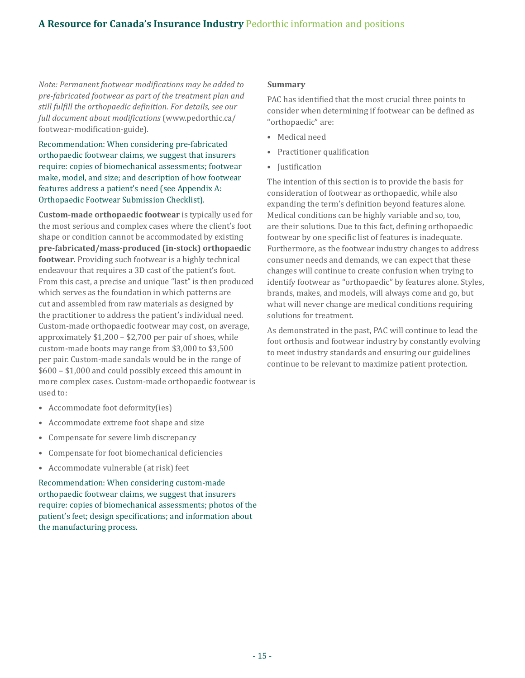*Note: Permanent footwear modifications may be added to pre-fabricated footwear as part of the treatment plan and still fulfill the orthopaedic definition. For details, see our full document about modifications* [\(www.pedorthic.ca/](https://www.pedorthic.ca/footwear-modification-guide) [footwear-modification-guide](https://www.pedorthic.ca/footwear-modification-guide))*.*

Recommendation: When considering pre-fabricated orthopaedic footwear claims, we suggest that insurers require: copies of biomechanical assessments; footwear make, model, and size; and description of how footwear features address a patient's need (see Appendix A: Orthopaedic Footwear Submission Checklist).

**Custom-made orthopaedic footwear** is typically used for the most serious and complex cases where the client's foot shape or condition cannot be accommodated by existing **pre-fabricated/mass-produced (in-stock) orthopaedic footwear**. Providing such footwear is a highly technical endeavour that requires a 3D cast of the patient's foot. From this cast, a precise and unique "last" is then produced which serves as the foundation in which patterns are cut and assembled from raw materials as designed by the practitioner to address the patient's individual need. Custom-made orthopaedic footwear may cost, on average, approximately \$1,200 – \$2,700 per pair of shoes, while custom-made boots may range from \$3,000 to \$3,500 per pair. Custom-made sandals would be in the range of \$600 – \$1,000 and could possibly exceed this amount in more complex cases. Custom-made orthopaedic footwear is used to:

- Accommodate foot deformity(ies)
- Accommodate extreme foot shape and size
- Compensate for severe limb discrepancy
- Compensate for foot biomechanical deficiencies
- Accommodate vulnerable (at risk) feet

Recommendation: When considering custom-made orthopaedic footwear claims, we suggest that insurers require: copies of biomechanical assessments; photos of the patient's feet; design specifications; and information about the manufacturing process.

#### **Summary**

PAC has identified that the most crucial three points to consider when determining if footwear can be defined as "orthopaedic" are:

- Medical need
- Practitioner qualification
- Justification

The intention of this section is to provide the basis for consideration of footwear as orthopaedic, while also expanding the term's definition beyond features alone. Medical conditions can be highly variable and so, too, are their solutions. Due to this fact, defining orthopaedic footwear by one specific list of features is inadequate. Furthermore, as the footwear industry changes to address consumer needs and demands, we can expect that these changes will continue to create confusion when trying to identify footwear as "orthopaedic" by features alone. Styles, brands, makes, and models, will always come and go, but what will never change are medical conditions requiring solutions for treatment.

As demonstrated in the past, PAC will continue to lead the foot orthosis and footwear industry by constantly evolving to meet industry standards and ensuring our guidelines continue to be relevant to maximize patient protection.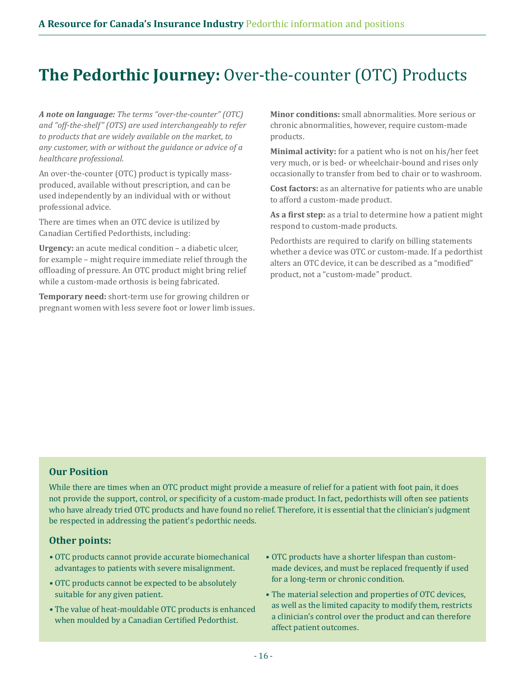### **The Pedorthic Journey:** Over-the-counter (OTC) Products

*A note on language: The terms "over-the-counter" (OTC) and "off-the-shelf" (OTS) are used interchangeably to refer to products that are widely available on the market, to any customer, with or without the guidance or advice of a healthcare professional.*

An over-the-counter (OTC) product is typically massproduced, available without prescription, and can be used independently by an individual with or without professional advice.

There are times when an OTC device is utilized by Canadian Certified Pedorthists, including:

**Urgency:** an acute medical condition – a diabetic ulcer, for example – might require immediate relief through the offloading of pressure. An OTC product might bring relief while a custom-made orthosis is being fabricated.

**Temporary need:** short-term use for growing children or pregnant women with less severe foot or lower limb issues. **Minor conditions:** small abnormalities. More serious or chronic abnormalities, however, require custom-made products.

**Minimal activity:** for a patient who is not on his/her feet very much, or is bed- or wheelchair-bound and rises only occasionally to transfer from bed to chair or to washroom.

**Cost factors:** as an alternative for patients who are unable to afford a custom-made product.

**As a first step:** as a trial to determine how a patient might respond to custom-made products.

Pedorthists are required to clarify on billing statements whether a device was OTC or custom-made. If a pedorthist alters an OTC device, it can be described as a "modified" product, not a "custom-made" product.

#### **Our Position**

While there are times when an OTC product might provide a measure of relief for a patient with foot pain, it does not provide the support, control, or specificity of a custom-made product. In fact, pedorthists will often see patients who have already tried OTC products and have found no relief. Therefore, it is essential that the clinician's judgment be respected in addressing the patient's pedorthic needs.

#### **Other points:**

- OTC products cannot provide accurate biomechanical advantages to patients with severe misalignment.
- OTC products cannot be expected to be absolutely suitable for any given patient.
- The value of heat-mouldable OTC products is enhanced when moulded by a Canadian Certified Pedorthist.
- OTC products have a shorter lifespan than custommade devices, and must be replaced frequently if used for a long-term or chronic condition.
- The material selection and properties of OTC devices, as well as the limited capacity to modify them, restricts a clinician's control over the product and can therefore affect patient outcomes.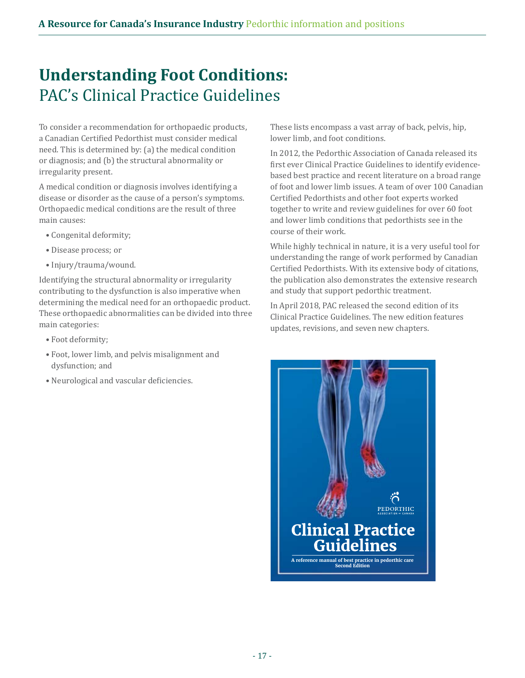### **Understanding Foot Conditions:** PAC's Clinical Practice Guidelines

To consider a recommendation for orthopaedic products, a Canadian Certified Pedorthist must consider medical need. This is determined by: (a) the medical condition or diagnosis; and (b) the structural abnormality or irregularity present.

A medical condition or diagnosis involves identifying a disease or disorder as the cause of a person's symptoms. Orthopaedic medical conditions are the result of three main causes:

- Congenital deformity;
- Disease process; or
- Injury/trauma/wound.

Identifying the structural abnormality or irregularity contributing to the dysfunction is also imperative when determining the medical need for an orthopaedic product. These orthopaedic abnormalities can be divided into three main categories:

- Foot deformity;
- Foot, lower limb, and pelvis misalignment and dysfunction; and
- Neurological and vascular deficiencies.

These lists encompass a vast array of back, pelvis, hip, lower limb, and foot conditions.

In 2012, the Pedorthic Association of Canada released its first ever Clinical Practice Guidelines to identify evidencebased best practice and recent literature on a broad range of foot and lower limb issues. A team of over 100 Canadian Certified Pedorthists and other foot experts worked together to write and review guidelines for over 60 foot and lower limb conditions that pedorthists see in the course of their work.

While highly technical in nature, it is a very useful tool for understanding the range of work performed by Canadian Certified Pedorthists. With its extensive body of citations, the publication also demonstrates the extensive research and study that support pedorthic treatment.

In April 2018, PAC released the second edition of its Clinical Practice Guidelines. The new edition features updates, revisions, and seven new chapters.

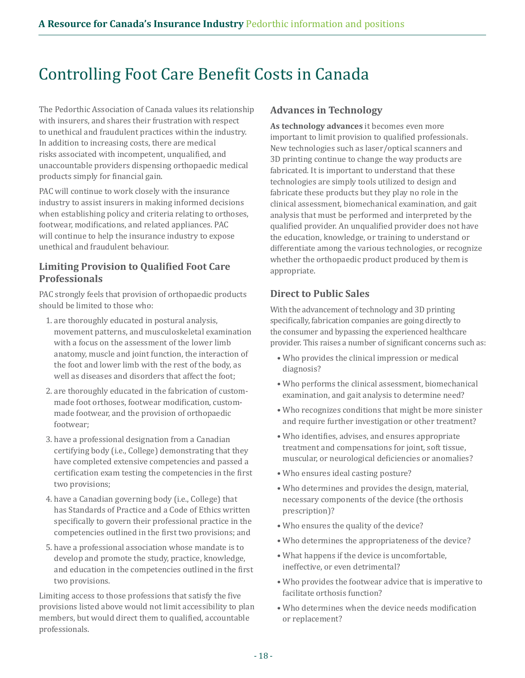### Controlling Foot Care Benefit Costs in Canada

The Pedorthic Association of Canada values its relationship with insurers, and shares their frustration with respect to unethical and fraudulent practices within the industry. In addition to increasing costs, there are medical risks associated with incompetent, unqualified, and unaccountable providers dispensing orthopaedic medical products simply for financial gain.

PAC will continue to work closely with the insurance industry to assist insurers in making informed decisions when establishing policy and criteria relating to orthoses, footwear, modifications, and related appliances. PAC will continue to help the insurance industry to expose unethical and fraudulent behaviour.

#### **Limiting Provision to Qualified Foot Care Professionals**

PAC strongly feels that provision of orthopaedic products should be limited to those who:

- 1. are thoroughly educated in postural analysis, movement patterns, and musculoskeletal examination with a focus on the assessment of the lower limb anatomy, muscle and joint function, the interaction of the foot and lower limb with the rest of the body, as well as diseases and disorders that affect the foot;
- 2. are thoroughly educated in the fabrication of custommade foot orthoses, footwear modification, custommade footwear, and the provision of orthopaedic footwear;
- 3. have a professional designation from a Canadian certifying body (i.e., College) demonstrating that they have completed extensive competencies and passed a certification exam testing the competencies in the first two provisions;
- 4. have a Canadian governing body (i.e., College) that has Standards of Practice and a Code of Ethics written specifically to govern their professional practice in the competencies outlined in the first two provisions; and
- 5. have a professional association whose mandate is to develop and promote the study, practice, knowledge, and education in the competencies outlined in the first two provisions.

Limiting access to those professions that satisfy the five provisions listed above would not limit accessibility to plan members, but would direct them to qualified, accountable professionals.

#### **Advances in Technology**

**As technology advances** it becomes even more important to limit provision to qualified professionals. New technologies such as laser/optical scanners and 3D printing continue to change the way products are fabricated. It is important to understand that these technologies are simply tools utilized to design and fabricate these products but they play no role in the clinical assessment, biomechanical examination, and gait analysis that must be performed and interpreted by the qualified provider. An unqualified provider does not have the education, knowledge, or training to understand or differentiate among the various technologies, or recognize whether the orthopaedic product produced by them is appropriate.

#### **Direct to Public Sales**

With the advancement of technology and 3D printing specifically, fabrication companies are going directly to the consumer and bypassing the experienced healthcare provider. This raises a number of significant concerns such as:

- Who provides the clinical impression or medical diagnosis?
- Who performs the clinical assessment, biomechanical examination, and gait analysis to determine need?
- Who recognizes conditions that might be more sinister and require further investigation or other treatment?
- Who identifies, advises, and ensures appropriate treatment and compensations for joint, soft tissue, muscular, or neurological deficiencies or anomalies?
- Who ensures ideal casting posture?
- Who determines and provides the design, material, necessary components of the device (the orthosis prescription)?
- Who ensures the quality of the device?
- Who determines the appropriateness of the device?
- What happens if the device is uncomfortable, ineffective, or even detrimental?
- Who provides the footwear advice that is imperative to facilitate orthosis function?
- Who determines when the device needs modification or replacement?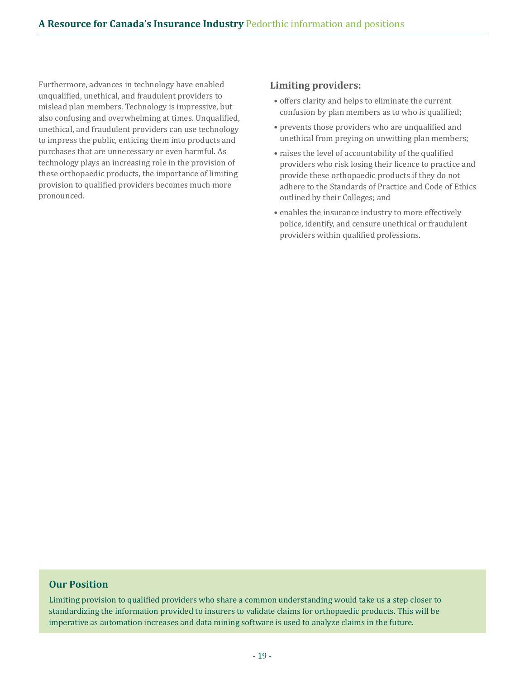Furthermore, advances in technology have enabled unqualified, unethical, and fraudulent providers to mislead plan members. Technology is impressive, but also confusing and overwhelming at times. Unqualified, unethical, and fraudulent providers can use technology to impress the public, enticing them into products and purchases that are unnecessary or even harmful. As technology plays an increasing role in the provision of these orthopaedic products, the importance of limiting provision to qualified providers becomes much more pronounced.

#### **Limiting providers:**

- offers clarity and helps to eliminate the current confusion by plan members as to who is qualified;
- prevents those providers who are unqualified and unethical from preying on unwitting plan members;
- raises the level of accountability of the qualified providers who risk losing their licence to practice and provide these orthopaedic products if they do not adhere to the Standards of Practice and Code of Ethics outlined by their Colleges; and
- enables the insurance industry to more effectively police, identify, and censure unethical or fraudulent providers within qualified professions.

#### **Our Position**

Limiting provision to qualified providers who share a common understanding would take us a step closer to standardizing the information provided to insurers to validate claims for orthopaedic products. This will be imperative as automation increases and data mining software is used to analyze claims in the future.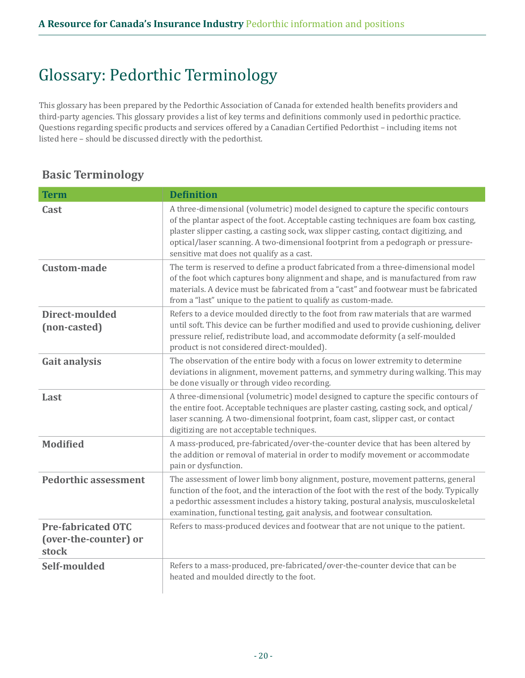# Glossary: Pedorthic Terminology

This glossary has been prepared by the Pedorthic Association of Canada for extended health benefits providers and third-party agencies. This glossary provides a list of key terms and definitions commonly used in pedorthic practice. Questions regarding specific products and services offered by a Canadian Certified Pedorthist – including items not listed here – should be discussed directly with the pedorthist.

### **Basic Terminology**

| <b>Term</b>                                                 | <b>Definition</b>                                                                                                                                                                                                                                                                                                                                                                                     |  |
|-------------------------------------------------------------|-------------------------------------------------------------------------------------------------------------------------------------------------------------------------------------------------------------------------------------------------------------------------------------------------------------------------------------------------------------------------------------------------------|--|
| Cast                                                        | A three-dimensional (volumetric) model designed to capture the specific contours<br>of the plantar aspect of the foot. Acceptable casting techniques are foam box casting,<br>plaster slipper casting, a casting sock, wax slipper casting, contact digitizing, and<br>optical/laser scanning. A two-dimensional footprint from a pedograph or pressure-<br>sensitive mat does not qualify as a cast. |  |
| <b>Custom-made</b>                                          | The term is reserved to define a product fabricated from a three-dimensional model<br>of the foot which captures bony alignment and shape, and is manufactured from raw<br>materials. A device must be fabricated from a "cast" and footwear must be fabricated<br>from a "last" unique to the patient to qualify as custom-made.                                                                     |  |
| Direct-moulded<br>(non-casted)                              | Refers to a device moulded directly to the foot from raw materials that are warmed<br>until soft. This device can be further modified and used to provide cushioning, deliver<br>pressure relief, redistribute load, and accommodate deformity (a self-moulded<br>product is not considered direct-moulded).                                                                                          |  |
| <b>Gait analysis</b>                                        | The observation of the entire body with a focus on lower extremity to determine<br>deviations in alignment, movement patterns, and symmetry during walking. This may<br>be done visually or through video recording.                                                                                                                                                                                  |  |
| Last                                                        | A three-dimensional (volumetric) model designed to capture the specific contours of<br>the entire foot. Acceptable techniques are plaster casting, casting sock, and optical/<br>laser scanning. A two-dimensional footprint, foam cast, slipper cast, or contact<br>digitizing are not acceptable techniques.                                                                                        |  |
| <b>Modified</b>                                             | A mass-produced, pre-fabricated/over-the-counter device that has been altered by<br>the addition or removal of material in order to modify movement or accommodate<br>pain or dysfunction.                                                                                                                                                                                                            |  |
| <b>Pedorthic assessment</b>                                 | The assessment of lower limb bony alignment, posture, movement patterns, general<br>function of the foot, and the interaction of the foot with the rest of the body. Typically<br>a pedorthic assessment includes a history taking, postural analysis, musculoskeletal<br>examination, functional testing, gait analysis, and footwear consultation.                                                  |  |
| <b>Pre-fabricated OTC</b><br>(over-the-counter) or<br>stock | Refers to mass-produced devices and footwear that are not unique to the patient.                                                                                                                                                                                                                                                                                                                      |  |
| Self-moulded                                                | Refers to a mass-produced, pre-fabricated/over-the-counter device that can be<br>heated and moulded directly to the foot.                                                                                                                                                                                                                                                                             |  |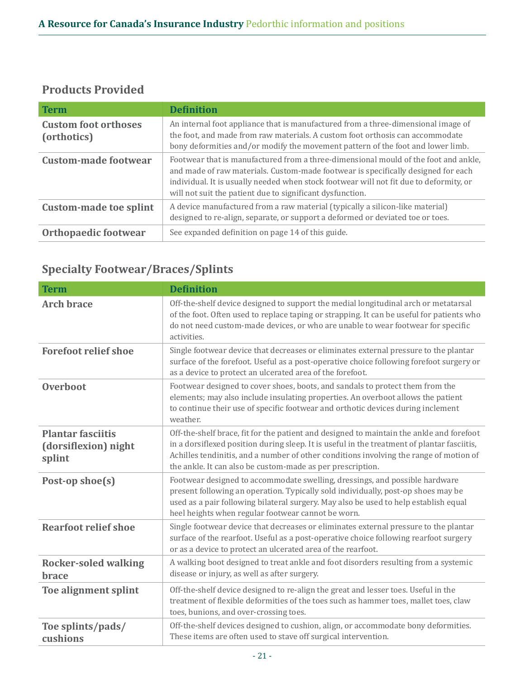### **Products Provided**

| <b>Term</b>                                | <b>Definition</b>                                                                                                                                                                                                                                                                                                               |
|--------------------------------------------|---------------------------------------------------------------------------------------------------------------------------------------------------------------------------------------------------------------------------------------------------------------------------------------------------------------------------------|
| <b>Custom foot orthoses</b><br>(orthotics) | An internal foot appliance that is manufactured from a three-dimensional image of<br>the foot, and made from raw materials. A custom foot orthosis can accommodate<br>bony deformities and/or modify the movement pattern of the foot and lower limb.                                                                           |
| <b>Custom-made footwear</b>                | Footwear that is manufactured from a three-dimensional mould of the foot and ankle,<br>and made of raw materials. Custom-made footwear is specifically designed for each<br>individual. It is usually needed when stock footwear will not fit due to deformity, or<br>will not suit the patient due to significant dysfunction. |
| <b>Custom-made toe splint</b>              | A device manufactured from a raw material (typically a silicon-like material)<br>designed to re-align, separate, or support a deformed or deviated toe or toes.                                                                                                                                                                 |
| Orthopaedic footwear                       | See expanded definition on page 14 of this guide.                                                                                                                                                                                                                                                                               |

### **Specialty Footwear/Braces/Splints**

| <b>Term</b>                                                | <b>Definition</b>                                                                                                                                                                                                                                                                                                                               |
|------------------------------------------------------------|-------------------------------------------------------------------------------------------------------------------------------------------------------------------------------------------------------------------------------------------------------------------------------------------------------------------------------------------------|
| <b>Arch brace</b>                                          | Off-the-shelf device designed to support the medial longitudinal arch or metatarsal<br>of the foot. Often used to replace taping or strapping. It can be useful for patients who<br>do not need custom-made devices, or who are unable to wear footwear for specific<br>activities.                                                             |
| <b>Forefoot relief shoe</b>                                | Single footwear device that decreases or eliminates external pressure to the plantar<br>surface of the forefoot. Useful as a post-operative choice following forefoot surgery or<br>as a device to protect an ulcerated area of the forefoot.                                                                                                   |
| Overboot                                                   | Footwear designed to cover shoes, boots, and sandals to protect them from the<br>elements; may also include insulating properties. An overboot allows the patient<br>to continue their use of specific footwear and orthotic devices during inclement<br>weather.                                                                               |
| <b>Plantar fasciitis</b><br>(dorsiflexion) night<br>splint | Off-the-shelf brace, fit for the patient and designed to maintain the ankle and forefoot<br>in a dorsiflexed position during sleep. It is useful in the treatment of plantar fasciitis,<br>Achilles tendinitis, and a number of other conditions involving the range of motion of<br>the ankle. It can also be custom-made as per prescription. |
| Post-op shoe(s)                                            | Footwear designed to accommodate swelling, dressings, and possible hardware<br>present following an operation. Typically sold individually, post-op shoes may be<br>used as a pair following bilateral surgery. May also be used to help establish equal<br>heel heights when regular footwear cannot be worn.                                  |
| <b>Rearfoot relief shoe</b>                                | Single footwear device that decreases or eliminates external pressure to the plantar<br>surface of the rearfoot. Useful as a post-operative choice following rearfoot surgery<br>or as a device to protect an ulcerated area of the rearfoot.                                                                                                   |
| <b>Rocker-soled walking</b><br><b>brace</b>                | A walking boot designed to treat ankle and foot disorders resulting from a systemic<br>disease or injury, as well as after surgery.                                                                                                                                                                                                             |
| Toe alignment splint                                       | Off-the-shelf device designed to re-align the great and lesser toes. Useful in the<br>treatment of flexible deformities of the toes such as hammer toes, mallet toes, claw<br>toes, bunions, and over-crossing toes.                                                                                                                            |
| Toe splints/pads/<br>cushions                              | Off-the-shelf devices designed to cushion, align, or accommodate bony deformities.<br>These items are often used to stave off surgical intervention.                                                                                                                                                                                            |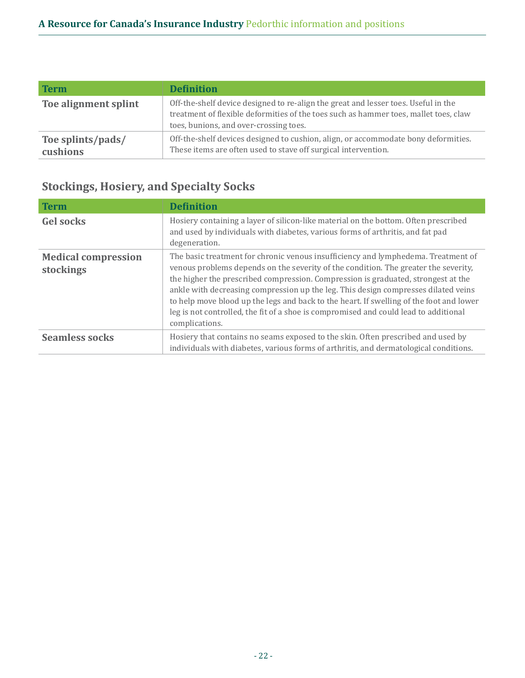| <b>Term</b>                   | <b>Definition</b>                                                                                                                                                                                                    |
|-------------------------------|----------------------------------------------------------------------------------------------------------------------------------------------------------------------------------------------------------------------|
| Toe alignment splint          | Off-the-shelf device designed to re-align the great and lesser toes. Useful in the<br>treatment of flexible deformities of the toes such as hammer toes, mallet toes, claw<br>toes, bunions, and over-crossing toes. |
| Toe splints/pads/<br>cushions | Off-the-shelf devices designed to cushion, align, or accommodate bony deformities.<br>These items are often used to stave off surgical intervention.                                                                 |

### **Stockings, Hosiery, and Specialty Socks**

| <b>Term</b>                             | <b>Definition</b>                                                                                                                                                                                                                                                                                                                                                                                                                                                                                                                                        |
|-----------------------------------------|----------------------------------------------------------------------------------------------------------------------------------------------------------------------------------------------------------------------------------------------------------------------------------------------------------------------------------------------------------------------------------------------------------------------------------------------------------------------------------------------------------------------------------------------------------|
| <b>Gel socks</b>                        | Hosiery containing a layer of silicon-like material on the bottom. Often prescribed<br>and used by individuals with diabetes, various forms of arthritis, and fat pad<br>degeneration.                                                                                                                                                                                                                                                                                                                                                                   |
| <b>Medical compression</b><br>stockings | The basic treatment for chronic venous insufficiency and lymphedema. Treatment of<br>venous problems depends on the severity of the condition. The greater the severity,<br>the higher the prescribed compression. Compression is graduated, strongest at the<br>ankle with decreasing compression up the leg. This design compresses dilated veins<br>to help move blood up the legs and back to the heart. If swelling of the foot and lower<br>leg is not controlled, the fit of a shoe is compromised and could lead to additional<br>complications. |
| <b>Seamless socks</b>                   | Hosiery that contains no seams exposed to the skin. Often prescribed and used by<br>individuals with diabetes, various forms of arthritis, and dermatological conditions.                                                                                                                                                                                                                                                                                                                                                                                |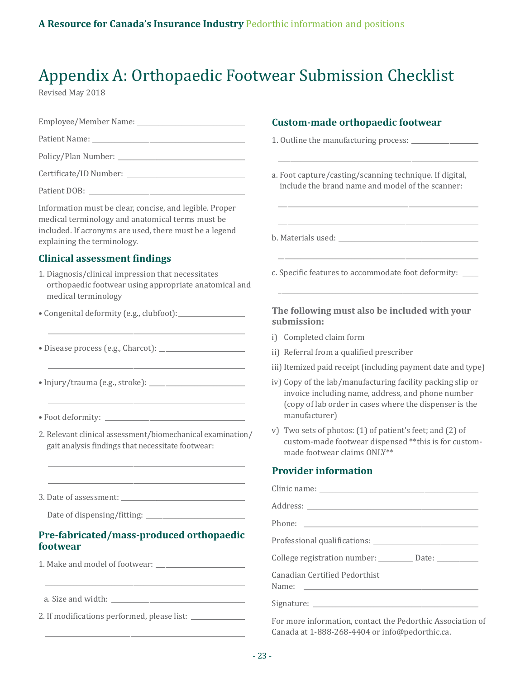# Appendix A: Orthopaedic Footwear Submission Checklist

Revised May 2018

|                                                                                                                                                                                                      | <b>Custom-made orthopaedic footwear</b>                                                                                                                                                    |
|------------------------------------------------------------------------------------------------------------------------------------------------------------------------------------------------------|--------------------------------------------------------------------------------------------------------------------------------------------------------------------------------------------|
|                                                                                                                                                                                                      |                                                                                                                                                                                            |
|                                                                                                                                                                                                      |                                                                                                                                                                                            |
|                                                                                                                                                                                                      | a. Foot capture/casting/scanning technique. If digital,                                                                                                                                    |
|                                                                                                                                                                                                      | include the brand name and model of the scanner:                                                                                                                                           |
| Information must be clear, concise, and legible. Proper<br>medical terminology and anatomical terms must be<br>included. If acronyms are used, there must be a legend<br>explaining the terminology. |                                                                                                                                                                                            |
| <b>Clinical assessment findings</b>                                                                                                                                                                  |                                                                                                                                                                                            |
| 1. Diagnosis/clinical impression that necessitates<br>orthopaedic footwear using appropriate anatomical and<br>medical terminology                                                                   | c. Specific features to accommodate foot deformity: ___                                                                                                                                    |
|                                                                                                                                                                                                      | The following must also be included with your<br>submission:                                                                                                                               |
|                                                                                                                                                                                                      | i) Completed claim form                                                                                                                                                                    |
|                                                                                                                                                                                                      | ii) Referral from a qualified prescriber                                                                                                                                                   |
|                                                                                                                                                                                                      | iii) Itemized paid receipt (including payment date and type)                                                                                                                               |
|                                                                                                                                                                                                      | iv) Copy of the lab/manufacturing facility packing slip or<br>invoice including name, address, and phone number<br>(copy of lab order in cases where the dispenser is the<br>manufacturer) |
|                                                                                                                                                                                                      |                                                                                                                                                                                            |
| 2. Relevant clinical assessment/biomechanical examination/<br>gait analysis findings that necessitate footwear:                                                                                      | v) Two sets of photos: (1) of patient's feet; and (2) of<br>custom-made footwear dispensed **this is for custom-<br>made footwear claims ONLY**                                            |
|                                                                                                                                                                                                      | <b>Provider information</b>                                                                                                                                                                |
|                                                                                                                                                                                                      |                                                                                                                                                                                            |
|                                                                                                                                                                                                      |                                                                                                                                                                                            |
|                                                                                                                                                                                                      |                                                                                                                                                                                            |
| Pre-fabricated/mass-produced orthopaedic<br>footwear                                                                                                                                                 |                                                                                                                                                                                            |
|                                                                                                                                                                                                      | College registration number: ________ Date: ________                                                                                                                                       |
| <u> 1989 - Johann John Harry Harry Harry Harry Harry Harry Harry Harry Harry Harry Harry Harry Harry Harry Harry H</u>                                                                               | <b>Canadian Certified Pedorthist</b>                                                                                                                                                       |
|                                                                                                                                                                                                      |                                                                                                                                                                                            |
|                                                                                                                                                                                                      | For more information, contact the Pedorthic Association of<br>Canada at 1-888-268-4404 or info@pedorthic.ca.                                                                               |